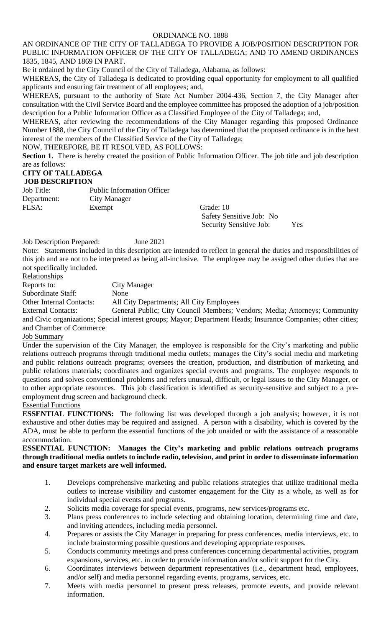### AN ORDINANCE OF THE CITY OF TALLADEGA TO PROVIDE A JOB/POSITION DESCRIPTION FOR PUBLIC INFORMATION OFFICER OF THE CITY OF TALLADEGA; AND TO AMEND ORDINANCES 1835, 1845, AND 1869 IN PART.

Be it ordained by the City Council of the City of Talladega, Alabama, as follows:

WHEREAS, the City of Talladega is dedicated to providing equal opportunity for employment to all qualified applicants and ensuring fair treatment of all employees; and,

WHEREAS, pursuant to the authority of State Act Number 2004-436, Section 7, the City Manager after consultation with the Civil Service Board and the employee committee has proposed the adoption of a job/position description for a Public Information Officer as a Classified Employee of the City of Talladega; and,

WHEREAS, after reviewing the recommendations of the City Manager regarding this proposed Ordinance Number 1888, the City Council of the City of Talladega has determined that the proposed ordinance is in the best interest of the members of the Classified Service of the City of Talladega;

NOW, THEREFORE, BE IT RESOLVED, AS FOLLOWS:

**Section 1.** There is hereby created the position of Public Information Officer. The job title and job description are as follows:

# **CITY OF TALLADEGA**

### **JOB DESCRIPTION**

Job Title: Public Information Officer Department: City Manager FLSA: Exempt Grade: 10

Safety Sensitive Job: No Security Sensitive Job: Yes

Job Description Prepared: June 2021

Note: Statements included in this description are intended to reflect in general the duties and responsibilities of this job and are not to be interpreted as being all-inclusive. The employee may be assigned other duties that are not specifically included.

Relationships

Reports to: City Manager

Subordinate Staff: None

Other Internal Contacts: All City Departments; All City Employees

External Contacts: General Public; City Council Members; Vendors; Media; Attorneys; Community and Civic organizations; Special interest groups; Mayor; Department Heads; Insurance Companies; other cities; and Chamber of Commerce

### Job Summary

Under the supervision of the City Manager, the employee is responsible for the City's marketing and public relations outreach programs through traditional media outlets; manages the City's social media and marketing and public relations outreach programs; oversees the creation, production, and distribution of marketing and public relations materials; coordinates and organizes special events and programs. The employee responds to questions and solves conventional problems and refers unusual, difficult, or legal issues to the City Manager, or to other appropriate resources. This job classification is identified as security-sensitive and subject to a preemployment drug screen and background check.

### Essential Functions

**ESSENTIAL FUNCTIONS:** The following list was developed through a job analysis; however, it is not exhaustive and other duties may be required and assigned. A person with a disability, which is covered by the ADA, must be able to perform the essential functions of the job unaided or with the assistance of a reasonable accommodation.

## **ESSENTIAL FUNCTION: Manages the City's marketing and public relations outreach programs through traditional media outlets to include radio, television, and print in order to disseminate information and ensure target markets are well informed.**

- 1. Develops comprehensive marketing and public relations strategies that utilize traditional media outlets to increase visibility and customer engagement for the City as a whole, as well as for individual special events and programs.
- 2. Solicits media coverage for special events, programs, new services/programs etc.
- 3. Plans press conferences to include selecting and obtaining location, determining time and date, and inviting attendees, including media personnel.
- 4. Prepares or assists the City Manager in preparing for press conferences, media interviews, etc. to include brainstorming possible questions and developing appropriate responses.
- 5. Conducts community meetings and press conferences concerning departmental activities, program expansions, services, etc. in order to provide information and/or solicit support for the City.
- 6. Coordinates interviews between department representatives (i.e., department head, employees, and/or self) and media personnel regarding events, programs, services, etc.
- 7. Meets with media personnel to present press releases, promote events, and provide relevant information.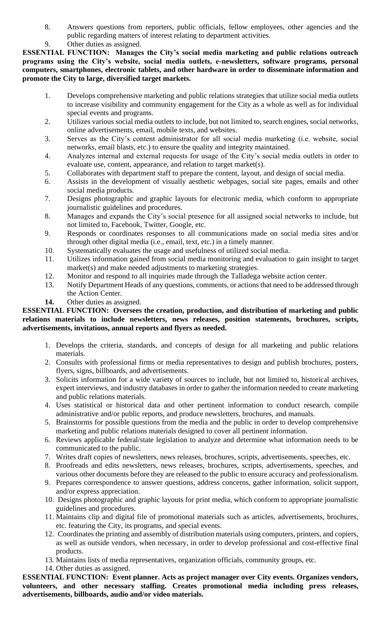- 8. Answers questions from reporters, public officials, fellow employees, other agencies and the public regarding matters of interest relating to department activities.
- 9. Other duties as assigned.

**ESSENTIAL FUNCTION: Manages the City's social media marketing and public relations outreach programs using the City's website, social media outlets, e-newsletters, software programs, personal computers, smartphones, electronic tablets, and other hardware in order to disseminate information and promote the City to large, diversified target markets.** 

- 1. Develops comprehensive marketing and public relations strategies that utilize social media outlets to increase visibility and community engagement for the City as a whole as well as for individual special events and programs.
- 2. Utilizes various social media outlets to include, but not limited to, search engines, social networks, online advertisements, email, mobile texts, and websites.
- 3. Serves as the City's content administrator for all social media marketing (i.e. website, social networks, email blasts, etc.) to ensure the quality and integrity maintained.
- 4. Analyzes internal and external requests for usage of the City's social media outlets in order to evaluate use, content, appearance, and relation to target market(s).
- 5. Collaborates with department staff to prepare the content, layout, and design of social media.
- 6. Assists in the development of visually aesthetic webpages, social site pages, emails and other social media products.
- 7. Designs photographic and graphic layouts for electronic media, which conform to appropriate journalistic guidelines and procedures.
- 8. Manages and expands the City's social presence for all assigned social networks to include, but not limited to, Facebook, Twitter, Google, etc.
- 9. Responds or coordinates responses to all communications made on social media sites and/or through other digital media (i.e., email, text, etc.) in a timely manner.
- 10. Systematically evaluates the usage and usefulness of utilized social media.
- 11. Utilizes information gained from social media monitoring and evaluation to gain insight to target market(s) and make needed adjustments to marketing strategies.
- 12. Monitor and respond to all inquiries made through the Talladega website action center.
- 13. Notify Department Heads of any questions, comments, or actions that need to be addressed through the Action Center.
- **14.** Other duties as assigned.

## **ESSENTIAL FUNCTION: Oversees the creation, production, and distribution of marketing and public relations materials to include newsletters, news releases, position statements, brochures, scripts, advertisements, invitations, annual reports and flyers as needed.**

- 1. Develops the criteria, standards, and concepts of design for all marketing and public relations materials.
- 2. Consults with professional firms or media representatives to design and publish brochures, posters, flyers, signs, billboards, and advertisements.
- 3. Solicits information for a wide variety of sources to include, but not limited to, historical archives, expert interviews, and industry databases in order to gather the information needed to create marketing and public relations materials.
- 4. Uses statistical or historical data and other pertinent information to conduct research, compile administrative and/or public reports, and produce newsletters, brochures, and manuals.
- 5. Brainstorms for possible questions from the media and the public in order to develop comprehensive marketing and public relations materials designed to cover all pertinent information.
- 6. Reviews applicable federal/state legislation to analyze and determine what information needs to be communicated to the public.
- 7. Writes draft copies of newsletters, news releases, brochures, scripts, advertisements, speeches, etc.
- 8. Proofreads and edits newsletters, news releases, brochures, scripts, advertisements, speeches, and various other documents before they are released to the public to ensure accuracy and professionalism.
- 9. Prepares correspondence to answer questions, address concerns, gather information, solicit support, and/or express appreciation.
- 10. Designs photographic and graphic layouts for print media, which conform to appropriate journalistic guidelines and procedures.
- 11. Maintains clip and digital file of promotional materials such as articles, advertisements, brochures, etc. featuring the City, its programs, and special events.
- 12. Coordinates the printing and assembly of distribution materials using computers, printers, and copiers, as well as outside vendors, when necessary, in order to develop professional and cost-effective final products.
- 13. Maintains lists of media representatives, organization officials, community groups, etc.
- 14. Other duties as assigned.

**ESSENTIAL FUNCTION: Event planner. Acts as project manager over City events. Organizes vendors, volunteers, and other necessary staffing. Creates promotional media including press releases, advertisements, billboards, audio and/or video materials.**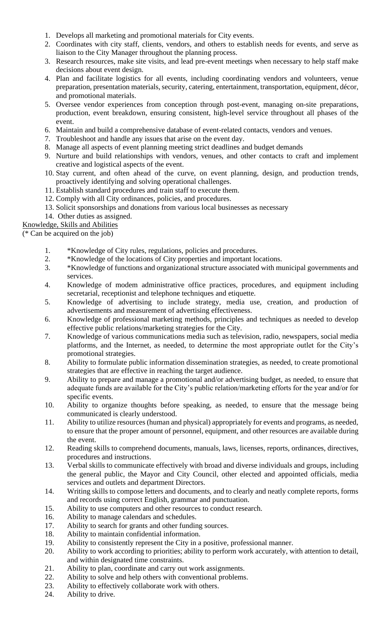- 1. Develops all marketing and promotional materials for City events.
- 2. Coordinates with city staff, clients, vendors, and others to establish needs for events, and serve as liaison to the City Manager throughout the planning process.
- 3. Research resources, make site visits, and lead pre-event meetings when necessary to help staff make decisions about event design.
- 4. Plan and facilitate logistics for all events, including coordinating vendors and volunteers, venue preparation, presentation materials, security, catering, entertainment, transportation, equipment, décor, and promotional materials.
- 5. Oversee vendor experiences from conception through post-event, managing on-site preparations, production, event breakdown, ensuring consistent, high-level service throughout all phases of the event.
- 6. Maintain and build a comprehensive database of event-related contacts, vendors and venues.
- 7. Troubleshoot and handle any issues that arise on the event day.
- 8. Manage all aspects of event planning meeting strict deadlines and budget demands
- 9. Nurture and build relationships with vendors, venues, and other contacts to craft and implement creative and logistical aspects of the event.
- 10. Stay current, and often ahead of the curve, on event planning, design, and production trends, proactively identifying and solving operational challenges.
- 11. Establish standard procedures and train staff to execute them.
- 12. Comply with all City ordinances, policies, and procedures.
- 13. Solicit sponsorships and donations from various local businesses as necessary
- 14. Other duties as assigned.

Knowledge, Skills and Abilities

(\* Can be acquired on the job)

- 1. \*Knowledge of City rules, regulations, policies and procedures.
- 2. \*Knowledge of the locations of City properties and important locations.
- 3. \*Knowledge of functions and organizational structure associated with municipal governments and services.
- 4. Knowledge of modem administrative office practices, procedures, and equipment including secretarial, receptionist and telephone techniques and etiquette.
- 5. Knowledge of advertising to include strategy, media use, creation, and production of advertisements and measurement of advertising effectiveness.
- 6. Knowledge of professional marketing methods, principles and techniques as needed to develop effective public relations/marketing strategies for the City.
- 7. Knowledge of various communications media such as television, radio, newspapers, social media platforms, and the Internet, as needed, to determine the most appropriate outlet for the City's promotional strategies.
- 8. Ability to formulate public information dissemination strategies, as needed, to create promotional strategies that are effective in reaching the target audience.
- 9. Ability to prepare and manage a promotional and/or advertising budget, as needed, to ensure that adequate funds are available for the City's public relation/marketing efforts for the year and/or for specific events.
- 10. Ability to organize thoughts before speaking, as needed, to ensure that the message being communicated is clearly understood.
- 11. Ability to utilize resources (human and physical) appropriately for events and programs, as needed, to ensure that the proper amount of personnel, equipment, and other resources are available during the event.
- 12. Reading skills to comprehend documents, manuals, laws, licenses, reports, ordinances, directives, procedures and instructions.
- 13. Verbal skills to communicate effectively with broad and diverse individuals and groups, including the general public, the Mayor and City Council, other elected and appointed officials, media services and outlets and department Directors.
- 14. Writing skills to compose letters and documents, and to clearly and neatly complete reports, forms and records using correct English, grammar and punctuation.
- 15. Ability to use computers and other resources to conduct research.
- 16. Ability to manage calendars and schedules.
- 17. Ability to search for grants and other funding sources.
- 18. Ability to maintain confidential information.
- 19. Ability to consistently represent the City in a positive, professional manner.
- 20. Ability to work according to priorities; ability to perform work accurately, with attention to detail, and within designated time constraints.
- 21. Ability to plan, coordinate and carry out work assignments.
- 22. Ability to solve and help others with conventional problems.
- 23. Ability to effectively collaborate work with others.
- 24. Ability to drive.